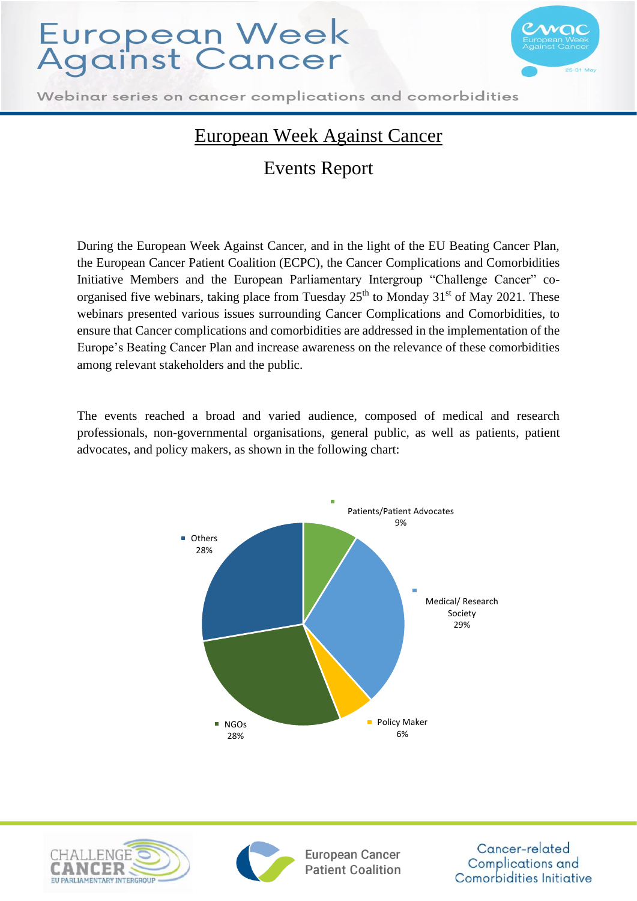

Webinar series on cancer complications and comorbidities

### European Week Against Cancer

### Events Report

During the European Week Against Cancer, and in the light of the EU Beating Cancer Plan, the European Cancer Patient Coalition (ECPC), the Cancer Complications and Comorbidities Initiative Members and the European Parliamentary Intergroup "Challenge Cancer" coorganised five webinars, taking place from Tuesday  $25<sup>th</sup>$  to Monday  $31<sup>st</sup>$  of May 2021. These webinars presented various issues surrounding Cancer Complications and Comorbidities, to ensure that Cancer complications and comorbidities are addressed in the implementation of the Europe's Beating Cancer Plan and increase awareness on the relevance of these comorbidities among relevant stakeholders and the public.

The events reached a broad and varied audience, composed of medical and research professionals, non-governmental organisations, general public, as well as patients, patient advocates, and policy makers, as shown in the following chart:







**European Cancer Patient Coalition**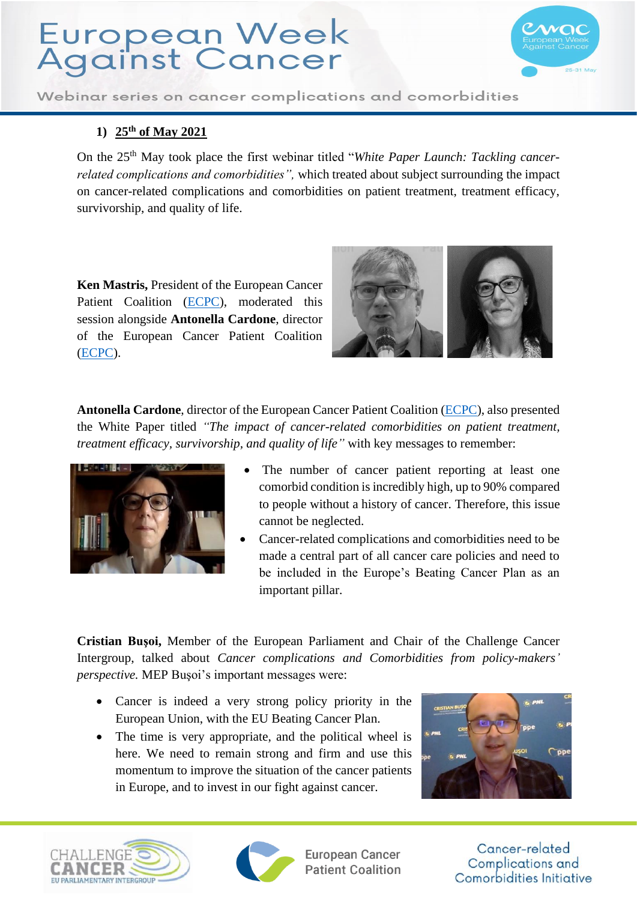

Webinar series on cancer complications and comorbidities

### **1) 25th of May 2021**

On the 25th May took place the first webinar titled "*White Paper Launch: Tackling cancerrelated complications and comorbidities",* which treated about subject surrounding the impact on cancer-related complications and comorbidities on patient treatment, treatment efficacy, survivorship, and quality of life.

**Ken Mastris,** President of the European Cancer Patient Coalition [\(ECPC\)](https://ecpc.org/), moderated this session alongside **Antonella Cardone**, director of the European Cancer Patient Coalition [\(ECPC\)](https://ecpc.org/).



**Antonella Cardone**, director of the European Cancer Patient Coalition [\(ECPC\)](https://ecpc.org/), also presented the White Paper titled *"The impact of cancer-related comorbidities on patient treatment, treatment efficacy, survivorship, and quality of life"* with key messages to remember:



- The number of cancer patient reporting at least one comorbid condition is incredibly high, up to 90% compared to people without a history of cancer. Therefore, this issue cannot be neglected.
- Cancer-related complications and comorbidities need to be made a central part of all cancer care policies and need to be included in the Europe's Beating Cancer Plan as an important pillar.

**Cristian Buşoi,** Member of the European Parliament and Chair of the Challenge Cancer Intergroup, talked about *Cancer complications and Comorbidities from policy-makers' perspective.* MEP Buşoi's important messages were:

- Cancer is indeed a very strong policy priority in the European Union, with the EU Beating Cancer Plan.
- The time is very appropriate, and the political wheel is here. We need to remain strong and firm and use this momentum to improve the situation of the cancer patients in Europe, and to invest in our fight against cancer.







**European Cancer Patient Coalition**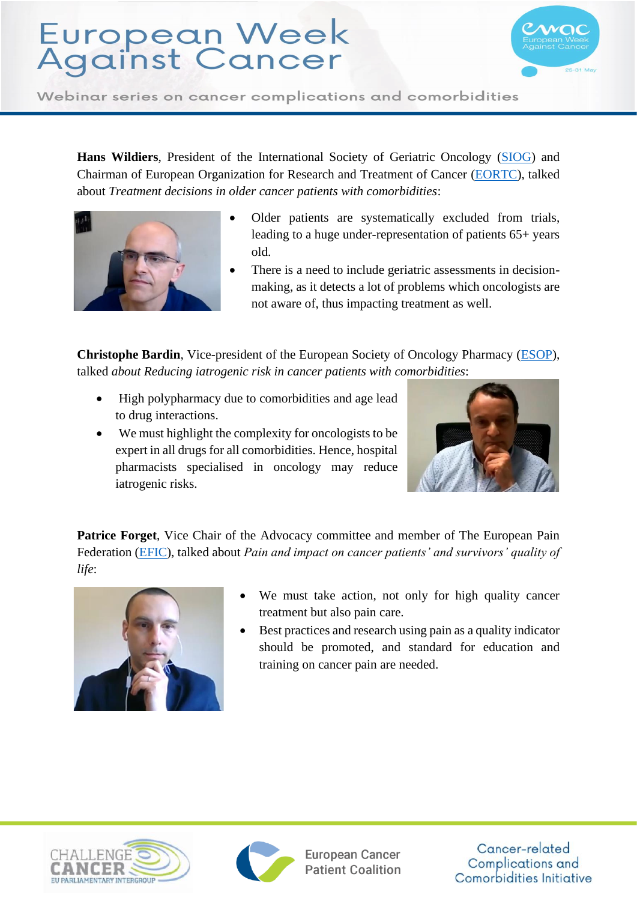

Webinar series on cancer complications and comorbidities

**Hans Wildiers**, President of the International Society of Geriatric Oncology [\(SIOG\)](http://siog.org/) and Chairman of European Organization for Research and Treatment of Cancer [\(EORTC\)](https://www.eortc.org/), talked about *Treatment decisions in older cancer patients with comorbidities*:



- Older patients are systematically excluded from trials, leading to a huge under-representation of patients 65+ years old.
- There is a need to include geriatric assessments in decisionmaking, as it detects a lot of problems which oncologists are not aware of, thus impacting treatment as well.

**Christophe Bardin**, Vice-president of the European Society of Oncology Pharmacy [\(ESOP\)](https://esop.li/), talked *about Reducing iatrogenic risk in cancer patients with comorbidities*:

- High polypharmacy due to comorbidities and age lead to drug interactions.
- We must highlight the complexity for oncologists to be expert in all drugs for all comorbidities. Hence, hospital pharmacists specialised in oncology may reduce iatrogenic risks.



**Patrice Forget.** Vice Chair of the Advocacy committee and member of The European Pain Federation [\(EFIC\)](https://europeanpainfederation.eu/), talked about *Pain and impact on cancer patients' and survivors' quality of life*:



- We must take action, not only for high quality cancer treatment but also pain care.
- Best practices and research using pain as a quality indicator should be promoted, and standard for education and training on cancer pain are needed.





**European Cancer Patient Coalition**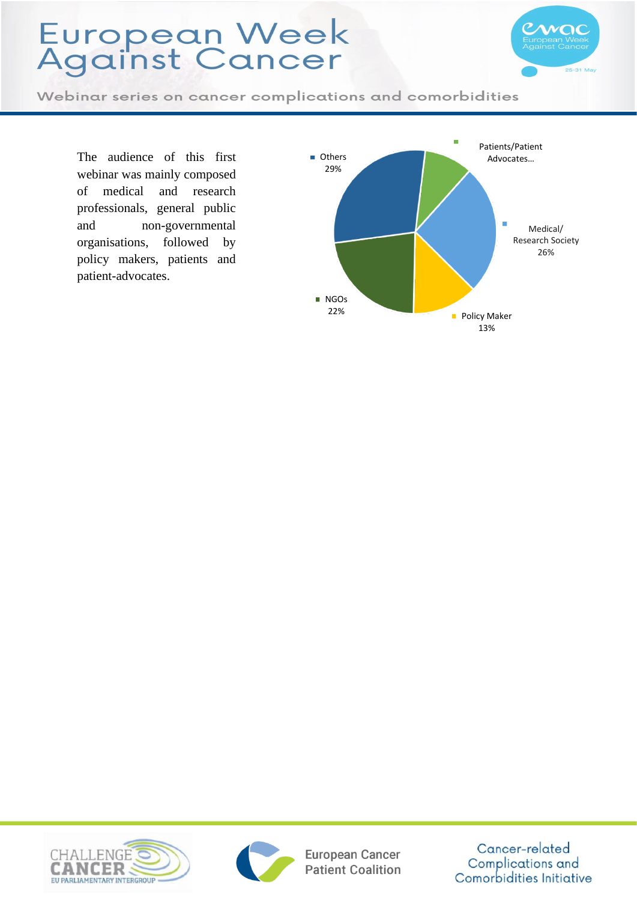

Webinar series on cancer complications and comorbidities

The audience of this first webinar was mainly composed of medical and research professionals, general public and non -governmental organisations, followed by policy makers, patients and patient -advocates.







European Cancer **Patient Coalition**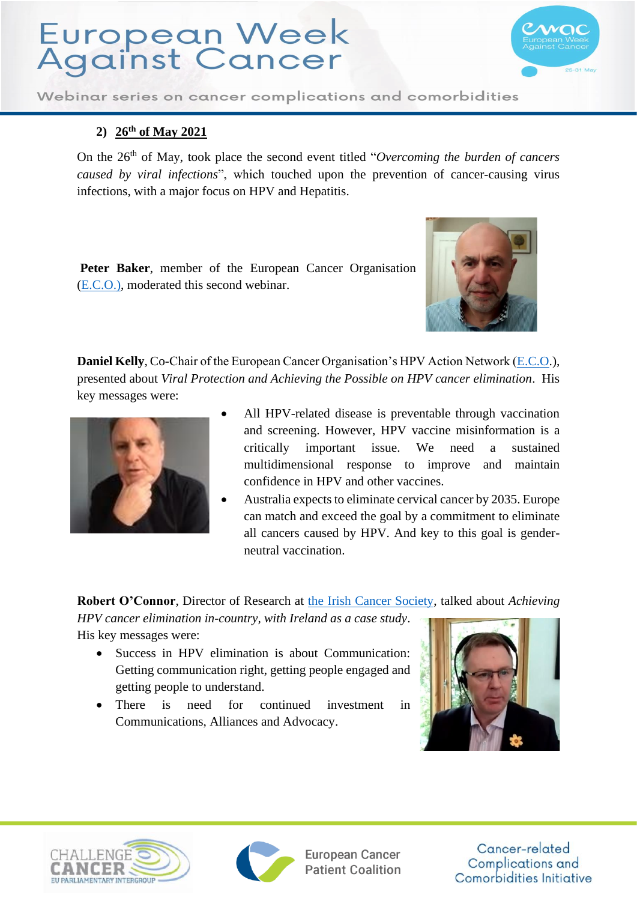

Webinar series on cancer complications and comorbidities

#### **2) 26th of May 2021**

On the 26th of May, took place the second event titled "*Overcoming the burden of cancers caused by viral infections*", which touched upon the prevention of cancer-causing virus infections, with a major focus on HPV and Hepatitis.

**Peter Baker**, member of the European Cancer Organisation [\(E.C.O.\),](https://www.europeancancer.org/topic-networks/1:hpv-action.html) moderated this second webinar.



**Daniel Kelly**, Co-Chair of the European Cancer Organisation's HPV Action Network [\(E.C.O.](https://www.europeancancer.org/topic-networks/1:hpv-action.html)), presented about *Viral Protection and Achieving the Possible on HPV cancer elimination*. His key messages were:



- All HPV-related disease is preventable through vaccination and screening. However, HPV vaccine misinformation is a critically important issue. We need a sustained multidimensional response to improve and maintain confidence in HPV and other vaccines.
- Australia expects to eliminate cervical cancer by 2035. Europe can match and exceed the goal by a commitment to eliminate all cancers caused by HPV. And key to this goal is genderneutral vaccination.

**Robert O'Connor**, Director of Research at [the Irish Cancer Society,](https://www.cancer.ie/) talked about *Achieving* 

*HPV cancer elimination in-country, with Ireland as a case study*. His key messages were:

- Success in HPV elimination is about Communication: Getting communication right, getting people engaged and getting people to understand.
- There is need for continued investment in Communications, Alliances and Advocacy.







European Cancer **Patient Coalition**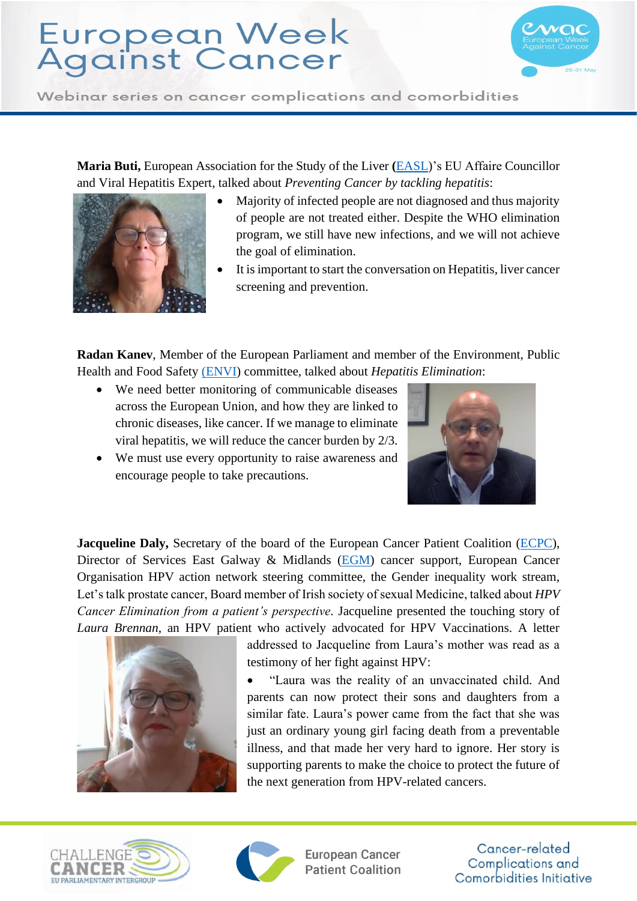

Webinar series on cancer complications and comorbidities

**Maria Buti,** European Association for the Study of the Liver **(**[EASL\)](https://easl.eu/)'s EU Affaire Councillor and Viral Hepatitis Expert, talked about *Preventing Cancer by tackling hepatitis*:



- Majority of infected people are not diagnosed and thus majority of people are not treated either. Despite the WHO elimination program, we still have new infections, and we will not achieve the goal of elimination.
- It is important to start the conversation on Hepatitis, liver cancer screening and prevention.

**Radan Kanev**, Member of the European Parliament and member of the Environment, Public Health and Food Safety [\(ENVI\)](https://www.europarl.europa.eu/committees/en/envi/home/highlights) committee, talked about *Hepatitis Elimination*:

- We need better monitoring of communicable diseases across the European Union, and how they are linked to chronic diseases, like cancer. If we manage to eliminate viral hepatitis, we will reduce the cancer burden by 2/3.
- We must use every opportunity to raise awareness and encourage people to take precautions.



**Jacqueline Daly,** Secretary of the board of the European Cancer Patient Coalition [\(ECPC\)](https://ecpc.org/), Director of Services East Galway & Midlands [\(EGM\)](https://www.egmcancersupport.com/) cancer support, European Cancer Organisation HPV action network steering committee, the Gender inequality work stream, Let's talk prostate cancer, Board member of Irish society of sexual Medicine, talked about *HPV Cancer Elimination from a patient's perspective.* Jacqueline presented the touching story of *Laura Brennan*, an HPV patient who actively advocated for HPV Vaccinations. A letter



addressed to Jacqueline from Laura's mother was read as a testimony of her fight against HPV:

• "Laura was the reality of an unvaccinated child. And parents can now protect their sons and daughters from a similar fate. Laura's power came from the fact that she was just an ordinary young girl facing death from a preventable illness, and that made her very hard to ignore. Her story is supporting parents to make the choice to protect the future of the next generation from HPV-related cancers.





**European Cancer Patient Coalition**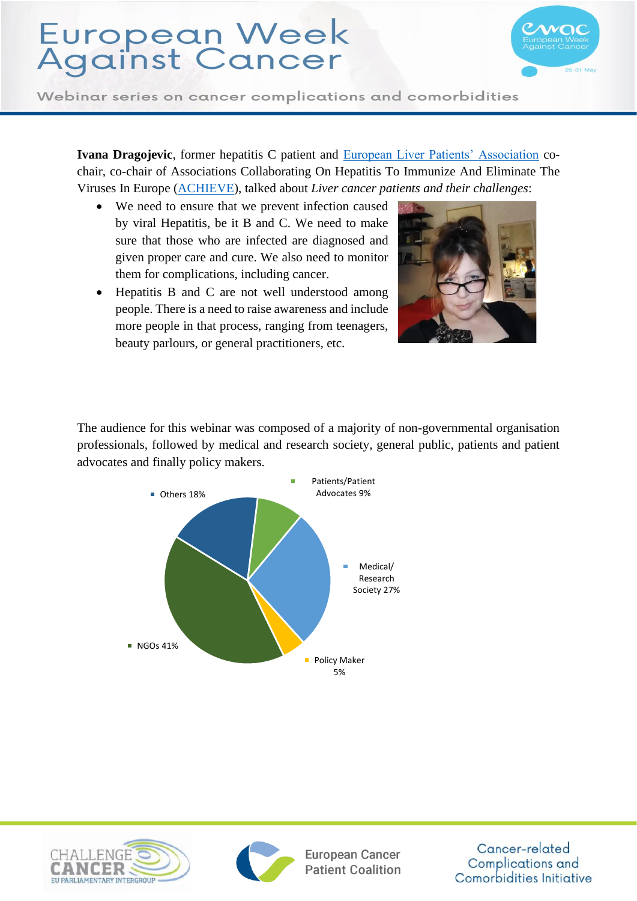

Webinar series on cancer complications and comorbidities

**Ivana Dragojevic**, former hepatitis C patient and [European Liver Patients' Association](https://elpa.eu/) cochair, co-chair of Associations Collaborating On Hepatitis To Immunize And Eliminate The Viruses In Europe [\(ACHIEVE\)](https://achievehepatitiselimination.eu/), talked about *Liver cancer patients and their challenges*:

- We need to ensure that we prevent infection caused by viral Hepatitis, be it B and C. We need to make sure that those who are infected are diagnosed and given proper care and cure. We also need to monitor them for complications, including cancer.
- Hepatitis B and C are not well understood among people. There is a need to raise awareness and include more people in that process, ranging from teenagers, beauty parlours, or general practitioners, etc.



The audience for this webinar was composed of a majority of non-governmental organisation professionals, followed by medical and research society, general public, patients and patient advocates and finally policy makers.







European Cancer **Patient Coalition**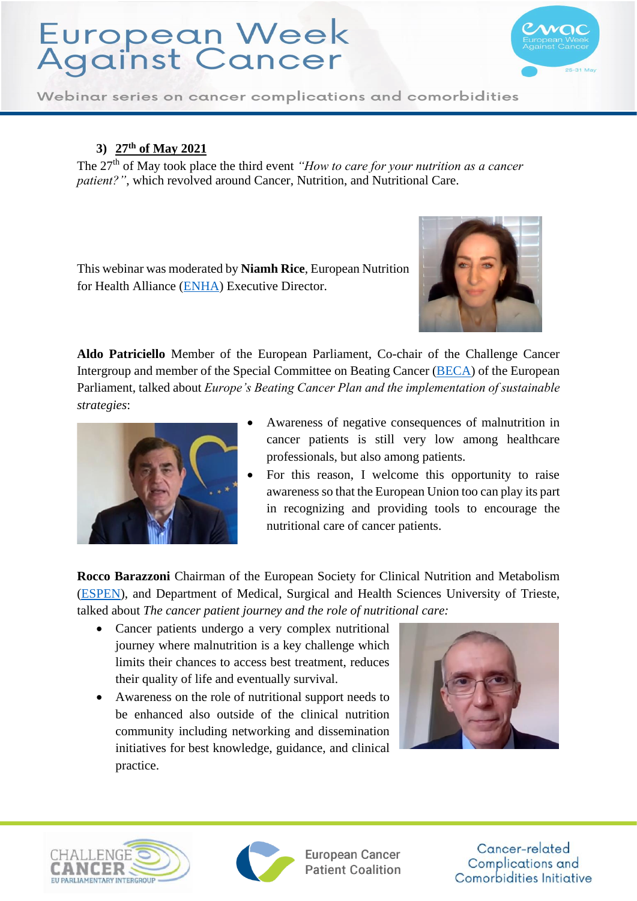

Webinar series on cancer complications and comorbidities

#### **3) 27th of May 2021**

The 27<sup>th</sup> of May took place the third event *"How to care for your nutrition as a cancer patient?"*, which revolved around Cancer, Nutrition, and Nutritional Care.

This webinar was moderated by **Niamh Rice**, European Nutrition for Health Alliance [\(ENHA\)](https://european-nutrition.org/enha/) Executive Director.



**Aldo Patriciello** Member of the European Parliament, Co-chair of the Challenge Cancer Intergroup and member of the Special Committee on Beating Cancer [\(BECA\)](https://www.europarl.europa.eu/committees/en/beca/about) of the European Parliament, talked about *Europe's Beating Cancer Plan and the implementation of sustainable strategies*:



- Awareness of negative consequences of malnutrition in cancer patients is still very low among healthcare professionals, but also among patients.
- For this reason, I welcome this opportunity to raise awareness so that the European Union too can play its part in recognizing and providing tools to encourage the nutritional care of cancer patients.

**Rocco Barazzoni** Chairman of the European Society for Clinical Nutrition and Metabolism [\(ESPEN\)](https://www.espen.org/), and Department of Medical, Surgical and Health Sciences University of Trieste, talked about *The cancer patient journey and the role of nutritional care:* 

- Cancer patients undergo a very complex nutritional journey where malnutrition is a key challenge which limits their chances to access best treatment, reduces their quality of life and eventually survival.
- Awareness on the role of nutritional support needs to be enhanced also outside of the clinical nutrition community including networking and dissemination initiatives for best knowledge, guidance, and clinical practice.







European Cancer **Patient Coalition**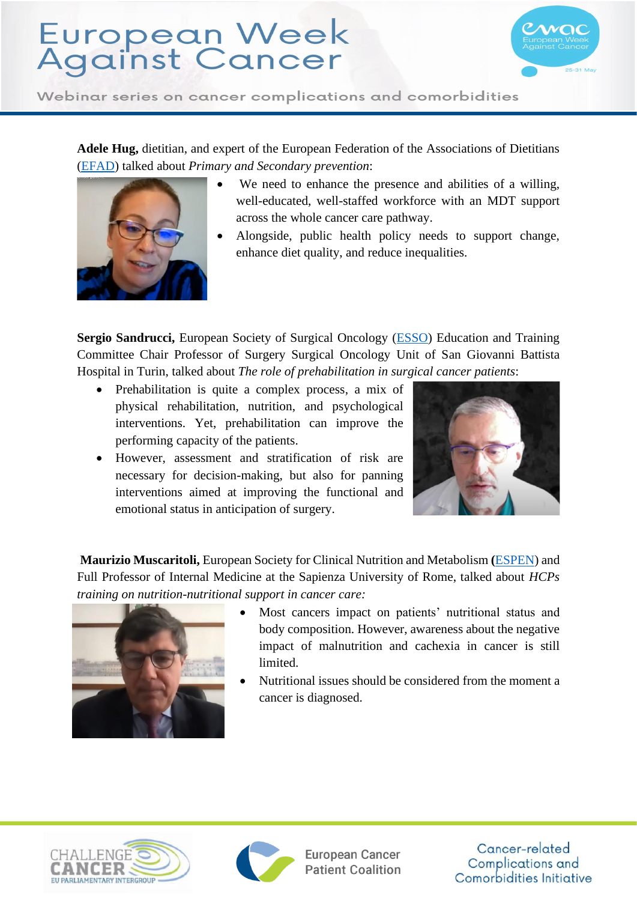

Webinar series on cancer complications and comorbidities

**Adele Hug,** dietitian, and expert of the European Federation of the Associations of Dietitians [\(EFAD\)](http://www.efad.org/en-us/home/) talked about *Primary and Secondary prevention*:



- We need to enhance the presence and abilities of a willing. well-educated, well-staffed workforce with an MDT support across the whole cancer care pathway.
- Alongside, public health policy needs to support change, enhance diet quality, and reduce inequalities.

**Sergio Sandrucci,** European Society of Surgical Oncology [\(ESSO\)](https://www.essoweb.org/) Education and Training Committee Chair Professor of Surgery Surgical Oncology Unit of San Giovanni Battista Hospital in Turin, talked about *The role of prehabilitation in surgical cancer patients*:

- Prehabilitation is quite a complex process, a mix of physical rehabilitation, nutrition, and psychological interventions. Yet, prehabilitation can improve the performing capacity of the patients.
- However, assessment and stratification of risk are necessary for decision-making, but also for panning interventions aimed at improving the functional and emotional status in anticipation of surgery.



**Maurizio Muscaritoli,** European Society for Clinical Nutrition and Metabolism **(**[ESPEN\)](https://www.espen.org/) and Full Professor of Internal Medicine at the Sapienza University of Rome, talked about *HCPs training on nutrition-nutritional support in cancer care:*



- Most cancers impact on patients' nutritional status and body composition. However, awareness about the negative impact of malnutrition and cachexia in cancer is still limited.
- Nutritional issues should be considered from the moment a cancer is diagnosed.





**European Cancer Patient Coalition**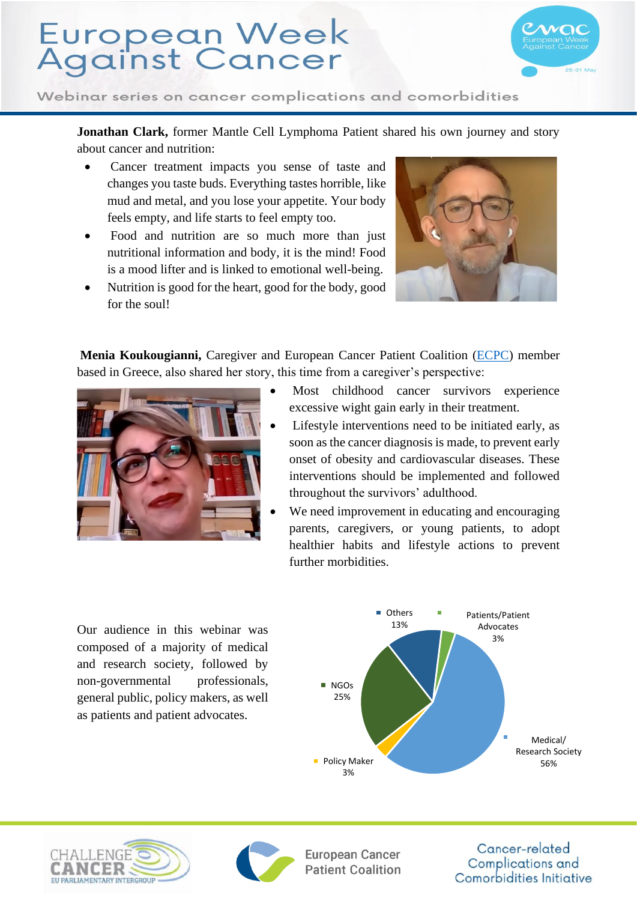

Webinar series on cancer complications and comorbidities

**Jonathan Clark,** former Mantle Cell Lymphoma Patient shared his own journey and story about cancer and nutrition:

- Cancer treatment impacts you sense of taste and changes you taste buds. Everything tastes horrible, like mud and metal, and you lose your appetite. Your body feels empty, and life starts to feel empty too.
- Food and nutrition are so much more than just nutritional information and body, it is the mind! Food is a mood lifter and is linked to emotional well-being.
- Nutrition is good for the heart, good for the body, good for the soul!



**Menia Koukougianni,** Caregiver and European Cancer Patient Coalition [\(ECPC\)](https://ecpc.org/) member based in Greece, also shared her story, this time from a caregiver's perspective:



Our audience in this webinar was composed of a majority of medical and research society, followed by non-governmental professionals, general public, policy makers, as well as patients and patient advocates.

- Most childhood cancer survivors experience excessive wight gain early in their treatment.
- Lifestyle interventions need to be initiated early, as soon as the cancer diagnosis is made, to prevent early onset of obesity and cardiovascular diseases. These interventions should be implemented and followed throughout the survivors' adulthood.
- We need improvement in educating and encouraging parents, caregivers, or young patients, to adopt healthier habits and lifestyle actions to prevent further morbidities.

Patients/Patient Advocates 3% Medical/ Research Society Policy Maker 56% 3% NGOs 25% **Others** 13%





**European Cancer Patient Coalition**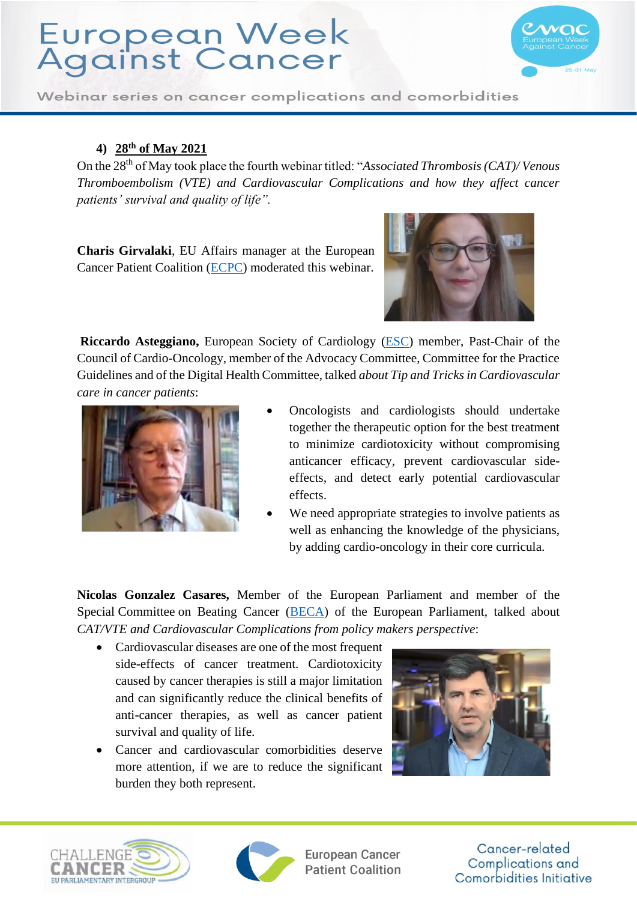

Webinar series on cancer complications and comorbidities

#### **4) 28th of May 2021**

On the 28th of May took place the fourth webinar titled: "*Associated Thrombosis (CAT)/ Venous Thromboembolism (VTE) and Cardiovascular Complications and how they affect cancer patients' survival and quality of life".* 

**Charis Girvalaki**, EU Affairs manager at the European Cancer Patient Coalition [\(ECPC\)](https://ecpc.org/) moderated this webinar.



**Riccardo Asteggiano,** European Society of Cardiology [\(ESC\)](https://www.escardio.org/The-ESC) member, Past-Chair of the Council of Cardio-Oncology, member of the Advocacy Committee, Committee for the Practice Guidelines and of the Digital Health Committee, talked *about Tip and Tricks in Cardiovascular care in cancer patients*:



- Oncologists and cardiologists should undertake together the therapeutic option for the best treatment to minimize cardiotoxicity without compromising anticancer efficacy, prevent cardiovascular sideeffects, and detect early potential cardiovascular effects.
- We need appropriate strategies to involve patients as well as enhancing the knowledge of the physicians, by adding cardio-oncology in their core curricula.

**Nicolas Gonzalez Casares,** Member of the European Parliament and member of the Special Committee on Beating Cancer [\(BECA\)](https://www.europarl.europa.eu/committees/en/beca/about) of the European Parliament, talked about *CAT/VTE and Cardiovascular Complications from policy makers perspective*:

- Cardiovascular diseases are one of the most frequent side-effects of cancer treatment. Cardiotoxicity caused by cancer therapies is still a major limitation and can significantly reduce the clinical benefits of anti-cancer therapies, as well as cancer patient survival and quality of life.
- Cancer and cardiovascular comorbidities deserve more attention, if we are to reduce the significant burden they both represent.







European Cancer **Patient Coalition**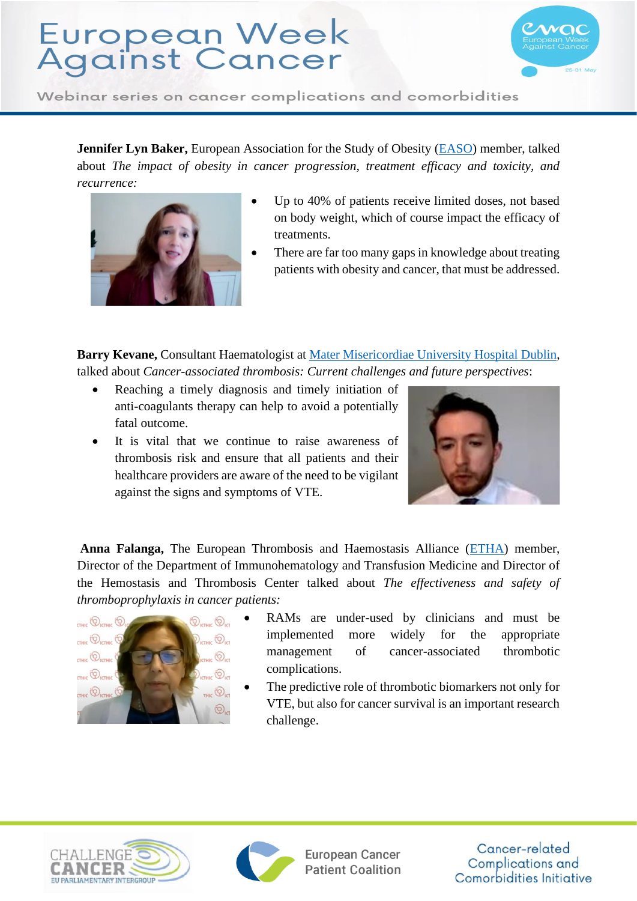

Webinar series on cancer complications and comorbidities

**Jennifer Lyn Baker, European Association for the Study of Obesity [\(EASO\)](https://easo.org/) member, talked** about *The impact of obesity in cancer progression, treatment efficacy and toxicity, and recurrence:*



- Up to 40% of patients receive limited doses, not based on body weight, which of course impact the efficacy of treatments.
- There are far too many gaps in knowledge about treating patients with obesity and cancer, that must be addressed.

**Barry Kevane,** Consultant Haematologist at [Mater Misericordiae University Hospital](https://www.mater.ie/) Dublin, talked about *Cancer-associated thrombosis: Current challenges and future perspectives*:

- Reaching a timely diagnosis and timely initiation of anti-coagulants therapy can help to avoid a potentially fatal outcome.
- It is vital that we continue to raise awareness of thrombosis risk and ensure that all patients and their healthcare providers are aware of the need to be vigilant against the signs and symptoms of VTE.



**Anna Falanga,** The European Thrombosis and Haemostasis Alliance [\(ETHA\)](https://etha.eu/) member, Director of the Department of Immunohematology and Transfusion Medicine and Director of the Hemostasis and Thrombosis Center talked about *The effectiveness and safety of thromboprophylaxis in cancer patients:*



- RAMs are under-used by clinicians and must be implemented more widely for the appropriate management of cancer-associated thrombotic complications.
- The predictive role of thrombotic biomarkers not only for VTE, but also for cancer survival is an important research challenge.





**European Cancer Patient Coalition**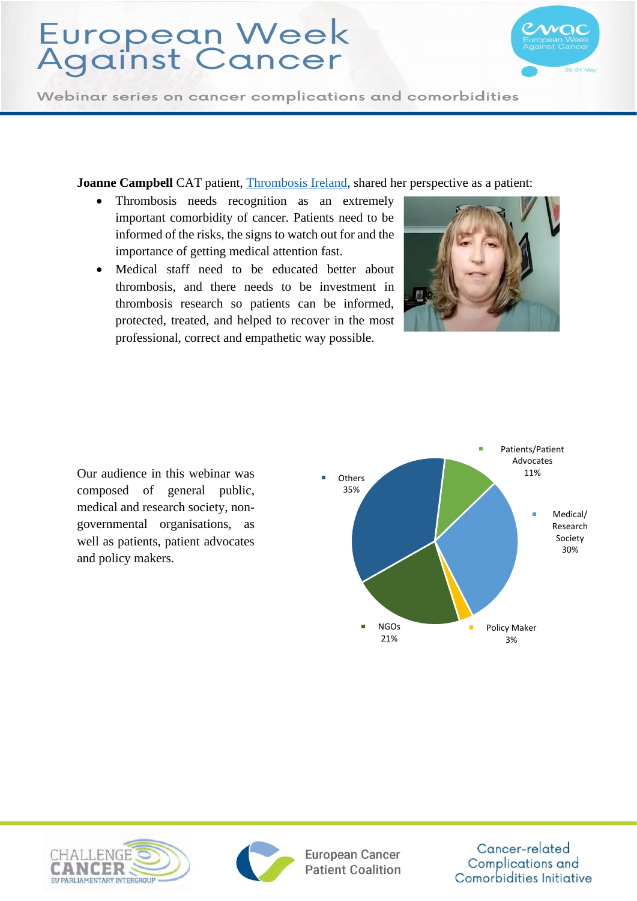

Webinar series on cancer complications and comorbidities

**Joanne Campbell** CAT patient, [Thrombosis Ireland,](https://thrombosis.ie/) shared her perspective as a patient:

- Thrombosis needs recognition as an extremely important comorbidity of cancer. Patients need to be informed of the risks, the signs to watch out for and the importance of getting medical attention fast.
- Medical staff need to be educated better about thrombosis, and there needs to be investment in thrombosis research so patients can be informed, protected, treated, and helped to recover in the most professional, correct and empathetic way possible.





Our audience in this webinar was composed of general public, medical and research society, nongovernmental organisations, as well as patients, patient advocates and policy makers.





European Cancer **Patient Coalition**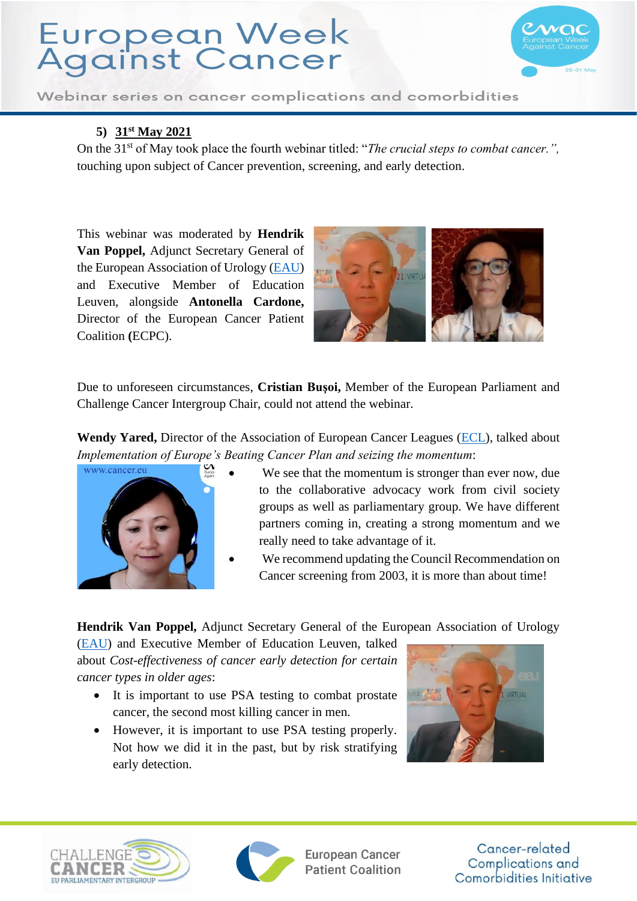

Webinar series on cancer complications and comorbidities

#### **5) 31st May 2021**

On the 31<sup>st</sup> of May took place the fourth webinar titled: "*The crucial steps to combat cancer.*", touching upon subject of Cancer prevention, screening, and early detection.

This webinar was moderated by **Hendrik Van Poppel,** Adjunct Secretary General of the European Association of Urology [\(EAU\)](https://uroweb.org/) and Executive Member of Education Leuven, alongside **Antonella Cardone,**  Director of the European Cancer Patient Coalition **(**ECPC).



Due to unforeseen circumstances, **Cristian Buşoi,** Member of the European Parliament and Challenge Cancer Intergroup Chair, could not attend the webinar.

Wendy Yared, Director of the Association of European Cancer Leagues [\(ECL\)](https://www.europeancancerleagues.org/), talked about *Implementation of Europe's Beating Cancer Plan and seizing the momentum*:



- We see that the momentum is stronger than ever now, due to the collaborative advocacy work from civil society groups as well as parliamentary group. We have different partners coming in, creating a strong momentum and we really need to take advantage of it.
- We recommend updating the Council Recommendation on Cancer screening from 2003, it is more than about time!

**Hendrik Van Poppel,** Adjunct Secretary General of the European Association of Urology

[\(EAU\)](https://uroweb.org/) and Executive Member of Education Leuven, talked about *Cost-effectiveness of cancer early detection for certain cancer types in older ages*:

- It is important to use PSA testing to combat prostate cancer, the second most killing cancer in men.
- However, it is important to use PSA testing properly. Not how we did it in the past, but by risk stratifying early detection.







**European Cancer Patient Coalition**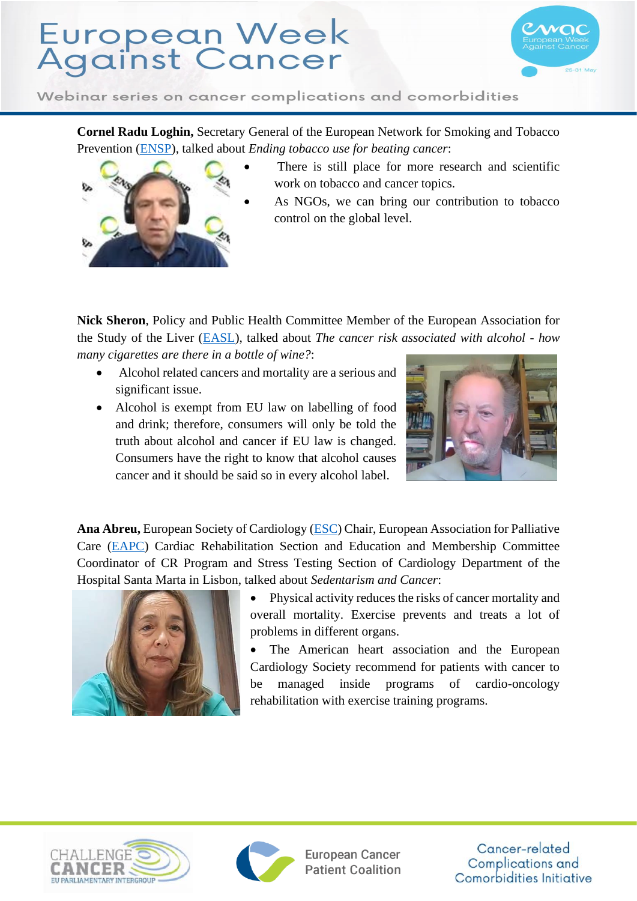

Webinar series on cancer complications and comorbidities

**Cornel Radu Loghin,** Secretary General of the European Network for Smoking and Tobacco Prevention [\(ENSP\)](http://ensp.network/), talked about *Ending tobacco use for beating cancer*:



- There is still place for more research and scientific work on tobacco and cancer topics.
- As NGOs, we can bring our contribution to tobacco control on the global level.

**Nick Sheron**, Policy and Public Health Committee Member of the European Association for the Study of the Liver [\(EASL\)](https://easl.eu/), talked about *The cancer risk associated with alcohol - how many cigarettes are there in a bottle of wine?*:

- Alcohol related cancers and mortality are a serious and significant issue.
- Alcohol is exempt from EU law on labelling of food and drink; therefore, consumers will only be told the truth about alcohol and cancer if EU law is changed. Consumers have the right to know that alcohol causes cancer and it should be said so in every alcohol label.



**Ana Abreu,** European Society of Cardiology [\(ESC\)](https://www.escardio.org/) Chair, European Association for Palliative Care [\(EAPC\)](https://www.eapcnet.eu/) Cardiac Rehabilitation Section and Education and Membership Committee Coordinator of CR Program and Stress Testing Section of Cardiology Department of the Hospital Santa Marta in Lisbon, talked about *Sedentarism and Cancer*:



• Physical activity reduces the risks of cancer mortality and overall mortality. Exercise prevents and treats a lot of problems in different organs.

The American heart association and the European Cardiology Society recommend for patients with cancer to be managed inside programs of cardio-oncology rehabilitation with exercise training programs.





**European Cancer Patient Coalition**